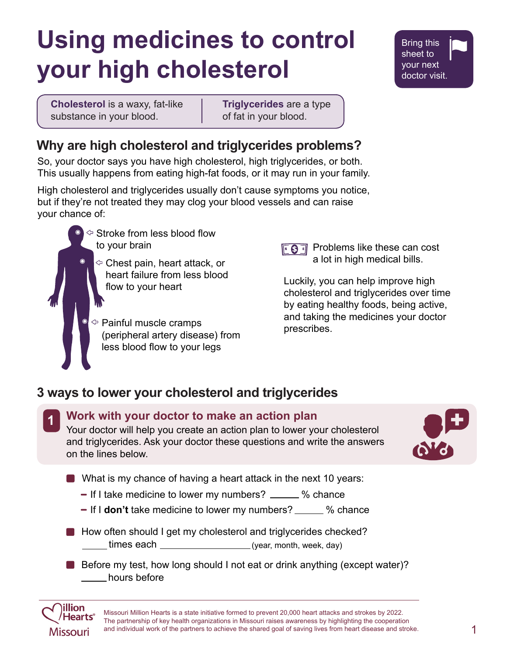# **Using medicines to control your high cholesterol**



**Cholesterol** is a waxy, fat-like substance in your blood.

**Triglycerides** are a type of fat in your blood.

## **Why are high cholesterol and triglycerides problems?**

So, your doctor says you have high cholesterol, high triglycerides, or both. This usually happens from eating high-fat foods, or it may run in your family.

High cholesterol and triglycerides usually don't cause symptoms you notice, but if they're not treated they may clog your blood vessels and can raise your chance of:

> $\Leftrightarrow$  Chest pain, heart attack, or  $\Leftrightarrow$  Stroke from less blood flow to your brain

heart failure from less blood flow to your heart

 $\Leftrightarrow$  Painful muscle cramps (peripheral artery disease) from less blood flow to your legs

 $\sqrt{s}$   $\sqrt{s}$  Problems like these can cost a lot in high medical bills.

Luckily, you can help improve high cholesterol and triglycerides over time by eating healthy foods, being active, and taking the medicines your doctor prescribes.

### **3 ways to lower your cholesterol and triglycerides**

**Work with your doctor to make an action plan** Your doctor will help you create an action plan to lower your cholesterol and triglycerides. Ask your doctor these questions and write the answers on the lines below. **1**



- **Notable 10 Years 10 years:** What is my chance of having a heart attack in the next 10 years:
	- $-If I$  take medicine to lower my numbers?  $\_\_\_\_\_\%$  chance
	- If I **don't** take medicine to lower my numbers? \_\_\_\_\_ % chance
- How often should I get my cholesterol and triglycerides checked? times each \_\_\_\_\_\_\_\_\_\_\_\_\_\_\_\_\_\_\_\_\_\_\_\_(year, month, week, day)
- Before my test, how long should I not eat or drink anything (except water)? hours before



Missouri Million Hearts is a state initiative formed to prevent 20,000 heart attacks and strokes by 2022. The partnership of key health organizations in Missouri raises awareness by highlighting the cooperation and individual work of the partners to achieve the shared goal of saving lives from heart disease and stroke.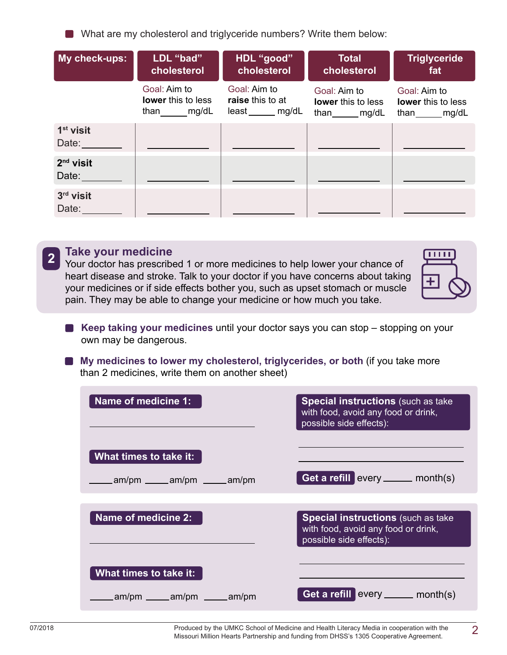**Netable 1** What are my cholesterol and triglyceride numbers? Write them below:

| My check-ups:                  | LDL "bad"<br>cholesterol                                | HDL "good"<br>cholesterol                              | <b>Total</b><br>cholesterol                             | <b>Triglyceride</b><br>fat                              |
|--------------------------------|---------------------------------------------------------|--------------------------------------------------------|---------------------------------------------------------|---------------------------------------------------------|
|                                | Goal: Aim to<br><b>lower</b> this to less<br>than mg/dL | Goal: Aim to<br><b>raise</b> this to at<br>least mg/dL | Goal: Aim to<br><b>lower</b> this to less<br>than mg/dL | Goal: Aim to<br><b>lower</b> this to less<br>than mg/dL |
| 1 <sup>st</sup> visit<br>Date: |                                                         |                                                        |                                                         |                                                         |
| $2nd$ visit<br>Date:           |                                                         |                                                        |                                                         |                                                         |
| 3rd visit<br>Date:             |                                                         |                                                        |                                                         |                                                         |



#### **Take your medicine**

Your doctor has prescribed 1 or more medicines to help lower your chance of **2** heart disease and stroke. Talk to your doctor if you have concerns about taking your medicines or if side effects bother you, such as upset stomach or muscle pain. They may be able to change your medicine or how much you take.



- **Keep taking your medicines** until your doctor says you can stop stopping on your own may be dangerous.
- **My medicines to lower my cholesterol, triglycerides, or both** (if you take more than 2 medicines, write them on another sheet)